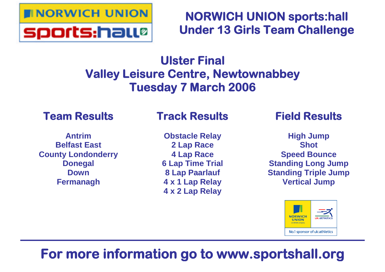

# **NORWICH UNION sports:hall Under 13 Girls Team Challenge**

# **Ulster Final Valley Leisure Centre, Newtownabbey Tuesday 7 March 2006**

# **Team Results**

### **Antrim Belfast East County Londonderry Donegal Down Fermanagh**

# **Track Results**

**Obstacle Relay 2 Lap Race 4 Lap Race 6 Lap Time Trial 8 Lap Paarlauf 4 x 1 Lap Relay 4 x 2 Lap Relay**

# **Field Results**

**High Jump Shot Speed Bounce Standing Long Jump Standing Triple Jump Vertical Jump**



# **For more information go to www.sportshall.org**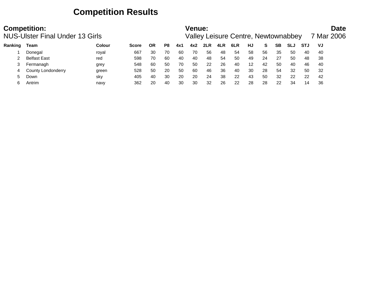## **Competition Results**

|         | <b>Competition:</b><br><b>NUS-Ulster Final Under 13 Girls</b> |        |              |           |    | Venue: |     |     | Valley Leisure Centre, Newtownabbey |     |    |    |    |            |            | Date<br>7 Mar 2006 |  |
|---------|---------------------------------------------------------------|--------|--------------|-----------|----|--------|-----|-----|-------------------------------------|-----|----|----|----|------------|------------|--------------------|--|
| Ranking | Team                                                          | Colour | <b>Score</b> | <b>OR</b> | P8 | 4x1    | 4x2 | 2LR | 4LR                                 | 6LR | HJ | S. | SΒ | <b>SLJ</b> | <b>STJ</b> | VJ                 |  |
|         | Donegal                                                       | royal  | 667          | 30        | 70 | 60     | 70  | 56  | 48                                  | 54  | 58 | 56 | 35 | 50         | 40         | -40                |  |
|         | <b>Belfast East</b>                                           | red    | 598          | 70        | 60 | 40     | 40  | 48  | 54                                  | 50  | 49 | 24 | 27 | 50         | 48         | 38                 |  |
|         | Fermanagh                                                     | grey   | 548          | 60        | 50 | 70     | 50  | 22  | 26                                  | 40  | 12 | 42 | 50 | 40         | 46         | 40                 |  |
|         | County Londonderry                                            | green  | 528          | 50        | 20 | 50     | 60  | 46  | 36                                  | 40  | 30 | 28 | 54 | 32         | 50         | -32                |  |
|         | Down                                                          | sky    | 405          | 40        | 30 | 20     | 20  | 24  | 38                                  | 22  | 43 | 50 | 32 | 22         | 22         | 42                 |  |
|         | Antrim                                                        | navy   | 362          | 20        | 40 | 30     | 30  | 32  | 26                                  | 22  | 28 | 28 | 22 | 34         | 14         | 36                 |  |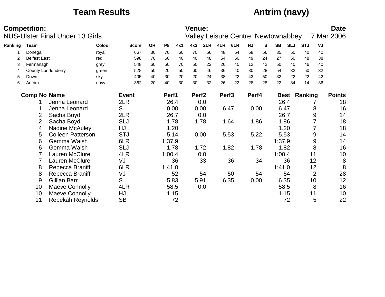## **Team Results Antrim (navy)**

|         | <b>Competition:</b> |                                        |               |              |           |                |      | <b>Venue:</b>     |      |                   |                                     |       |    |           |            |                     |                | <b>Date</b>   |
|---------|---------------------|----------------------------------------|---------------|--------------|-----------|----------------|------|-------------------|------|-------------------|-------------------------------------|-------|----|-----------|------------|---------------------|----------------|---------------|
|         |                     | <b>NUS-Ulster Final Under 13 Girls</b> |               |              |           |                |      |                   |      |                   | Valley Leisure Centre, Newtownabbey |       |    |           |            |                     |                | 7 Mar 2006    |
| Ranking | Team                |                                        | <b>Colour</b> | <b>Score</b> | <b>OR</b> | P <sub>8</sub> | 4x1  | 4x2               | 2LR  | 4LR               | 6LR                                 | HJ    | S  | <b>SB</b> | <b>SLJ</b> | <b>STJ</b>          | VJ             |               |
|         | Donegal             |                                        | royal         | 667          | 30        | 70             | 60   | 70                | 56   | 48                | 54                                  | 58    | 56 | 35        | 50         | 40                  | 40             |               |
|         | <b>Belfast East</b> |                                        | red           | 598          | 70        | 60             | 40   | 40                | 48   | 54                | 50                                  | 49    | 24 | 27        | 50         | 48                  | 38             |               |
| 3       | Fermanagh           |                                        | grey          | 548          | 60        | 50             | 70   | 50                | 22   | 26                | 40                                  | 12    | 42 | 50        | 40         | 46                  | 40             |               |
| 4       |                     | <b>County Londonderry</b>              | green         | 528          | 50        | 20             | 50   | 60                | 46   | 36                | 40                                  | 30    | 28 | 54        | 32         | 50                  | 32             |               |
| 5       | Down                |                                        | sky           | 405          | 40        | 30             | 20   | 20                | 24   | 38                | 22                                  | 43    | 50 | 32        | 22         | 22                  | 42             |               |
| 6       | Antrim              |                                        | navy          | 362          | 20        | 40             | 30   | 30                | 32   | 26                | 22                                  | 28    | 28 | 22        | 34         | 14                  | 36             |               |
|         | <b>Comp No Name</b> |                                        |               | <b>Event</b> |           | Perf1          |      | Perf <sub>2</sub> |      | Perf <sub>3</sub> |                                     | Perf4 |    |           |            | <b>Best Ranking</b> |                | <b>Points</b> |
|         |                     | Jenna Leonard                          |               | 2LR          |           | 26.4           |      |                   | 0.0  |                   |                                     |       |    |           | 26.4       |                     |                | 18            |
|         |                     | Jenna Leonard                          |               | S            |           | 0.00           |      |                   | 0.00 |                   | 6.47                                | 0.00  |    |           | 6.47       |                     | 8              | 16            |
|         | 2                   | Sacha Boyd                             |               | 2LR          |           |                | 26.7 |                   | 0.0  |                   |                                     |       |    |           | 26.7       |                     | 9              | 14            |
|         | $\overline{2}$      | Sacha Boyd                             |               | <b>SLJ</b>   |           |                | 1.78 |                   | 1.78 |                   | 1.64                                | 1.86  |    |           | 1.86       |                     |                | 18            |
|         | 4                   | <b>Nadine McAuley</b>                  |               | HJ           |           |                | 1.20 |                   |      |                   |                                     |       |    |           | 1.20       |                     |                | 18            |
|         | 5                   | <b>Colleen Patterson</b>               |               | <b>STJ</b>   |           |                | 5.14 |                   | 0.00 |                   | 5.53                                | 5.22  |    |           | 5.53       |                     | 9              | 14            |
|         | 6                   | Gemma Walsh                            |               | 6LR          |           | 1:37.9         |      |                   |      |                   |                                     |       |    | 1:37.9    |            |                     | 9              | 14            |
|         | 6                   | Gemma Walsh                            |               | <b>SLJ</b>   |           |                | 1.78 |                   | 1.72 |                   | 1.82                                | 1.78  |    |           | 1.82       |                     | 8              | 16            |
|         |                     | Lauren McClure                         |               | 4LR          |           | 1:00.4         |      |                   | 0.0  |                   |                                     |       |    | 1:00.4    |            |                     | 11             | 10            |
|         |                     | Lauren McClure                         |               | VJ           |           |                | 36   |                   | 33   |                   | 36                                  |       | 34 |           | 36         |                     | 12             | 8             |
|         | 8                   | Rebecca Braniff                        |               | 6LR          |           | 1:41.0         |      |                   |      |                   |                                     |       |    | 1:41.0    |            |                     | 12             | 8             |
|         | 8                   | Rebecca Braniff                        |               | VJ           |           |                | 52   |                   | 54   |                   | 50                                  |       | 54 |           | 54         |                     | $\overline{2}$ | 28            |
|         | 9                   | Gillian Barr                           |               | S            |           | 5.83           |      |                   | 5.91 |                   | 6.35                                | 0.00  |    |           | 6.35       |                     | 10             | 12            |
|         | 10                  | <b>Maeve Connolly</b>                  |               | 4LR          |           | 58.5           |      |                   | 0.0  |                   |                                     |       |    |           | 58.5       |                     | 8              | 16            |
|         | 10                  | <b>Maeve Connolly</b>                  |               | HJ           |           |                | 1.15 |                   |      |                   |                                     |       |    |           | 1.15       |                     | 11             | 10            |
|         | 11                  | <b>Rebekah Reynolds</b>                |               | <b>SB</b>    |           |                | 72   |                   |      |                   |                                     |       |    |           | 72         |                     | 5              | 22            |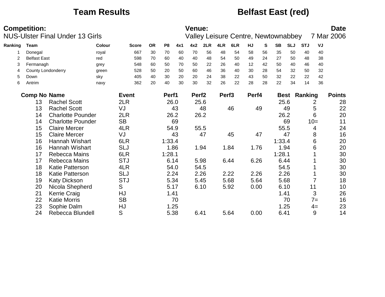## **Team Results Belfast East (red)**

|         | <b>Competition:</b>       | <b>NUS-Ulster Final Under 13 Girls</b> |               |              |           |                |      | <b>Venue:</b>     |      |                   | Valley Leisure Centre, Newtownabbey |       |    |           |            |                     |       | <b>Date</b><br>7 Mar 2006 |
|---------|---------------------------|----------------------------------------|---------------|--------------|-----------|----------------|------|-------------------|------|-------------------|-------------------------------------|-------|----|-----------|------------|---------------------|-------|---------------------------|
| Ranking | Team                      |                                        | <b>Colour</b> | <b>Score</b> | <b>OR</b> | P <sub>8</sub> | 4x1  | 4x2               | 2LR  | 4LR               | 6LR                                 | HJ    | S  | <b>SB</b> | <b>SLJ</b> | <b>STJ</b>          | VJ    |                           |
|         | Donegal                   |                                        | royal         | 667          | 30        | 70             | 60   | 70                | 56   | 48                | 54                                  | 58    | 56 | 35        | 50         | 40                  | 40    |                           |
|         | <b>Belfast East</b>       |                                        | red           | 598          | 70        | 60             | 40   | 40                | 48   | 54                | 50                                  | 49    | 24 | 27        | 50         | 48                  | 38    |                           |
| 3       | Fermanagh                 |                                        | grey          | 548          | 60        | 50             | 70   | 50                | 22   | 26                | 40                                  | 12    | 42 | 50        | 40         | 46                  | 40    |                           |
| 4       | <b>County Londonderry</b> |                                        | green         | 528          | 50        | 20             | 50   | 60                | 46   | 36                | 40                                  | 30    | 28 | 54        | 32         | 50                  | 32    |                           |
| 5       | Down                      |                                        | sky           | 405          | 40        | 30             | 20   | 20                | 24   | 38                | 22                                  | 43    | 50 | 32        | 22         | 22                  | 42    |                           |
| 6       | Antrim                    |                                        | navy          | 362          | 20        | 40             | 30   | 30                | 32   | 26                | 22                                  | 28    | 28 | 22        | 34         | 14                  | 36    |                           |
|         | <b>Comp No Name</b>       |                                        |               | <b>Event</b> |           | Perf1          |      | Perf <sub>2</sub> |      | Perf <sub>3</sub> |                                     | Perf4 |    |           |            | <b>Best Ranking</b> |       | <b>Points</b>             |
|         | 13                        | <b>Rachel Scott</b>                    |               | 2LR          |           |                | 26.0 |                   | 25.6 |                   |                                     |       |    | 25.6      |            |                     | 2     | 28                        |
|         | 13                        | <b>Rachel Scott</b>                    |               | VJ           |           |                | 43   |                   | 48   |                   | 46                                  |       | 49 |           | 49         |                     | 5     | 22                        |
|         | 14                        | <b>Charlotte Pounder</b>               |               | 2LR          |           |                | 26.2 |                   | 26.2 |                   |                                     |       |    | 26.2      |            |                     | 6     | 20                        |
|         | 14                        | <b>Charlotte Pounder</b>               |               | <b>SB</b>    |           |                | 69   |                   |      |                   |                                     |       |    |           | 69         |                     | $10=$ | 11                        |
|         | 15                        | <b>Claire Mercer</b>                   |               | 4LR          |           |                | 54.9 |                   | 55.5 |                   |                                     |       |    | 55.5      |            |                     | 4     | 24                        |
|         | 15                        | <b>Claire Mercer</b>                   |               | VJ           |           |                | 43   |                   | 47   |                   | 45                                  |       | 47 |           | 47         |                     | 8     | 16                        |
|         | 16                        | Hannah Wishart                         |               | 6LR          |           | 1:33.4         |      |                   |      |                   |                                     |       |    | 1:33.4    |            |                     | 6     | 20                        |
|         | 16                        | Hannah Wishart                         |               | <b>SLJ</b>   |           |                | 1.86 |                   | 1.94 |                   | 1.84                                | 1.76  |    | 1.94      |            |                     | 6     | 20                        |
|         | 17                        | Rebecca Mains                          |               | 6LR          |           | 1:28.1         |      |                   |      |                   |                                     |       |    | 1:28.1    |            |                     |       | 30                        |
|         | 17                        | <b>Rebecca Mains</b>                   |               | <b>STJ</b>   |           |                | 6.14 |                   | 5.98 |                   | 6.44                                | 6.26  |    | 6.44      |            |                     |       | 30                        |
|         | 18                        | <b>Katie Patterson</b>                 |               | 4LR          |           | 54.0           |      |                   | 54.5 |                   |                                     |       |    | 54.5      |            |                     |       | 30                        |
|         | 18                        | <b>Katie Patterson</b>                 |               | <b>SLJ</b>   |           |                | 2.24 |                   | 2.26 |                   | 2.22                                | 2.26  |    | 2.26      |            |                     |       | 30                        |
|         | 19                        | <b>Katy Dickson</b>                    |               | <b>STJ</b>   |           |                | 5.34 |                   | 5.45 |                   | 5.68                                | 5.64  |    | 5.68      |            |                     |       | 18                        |
|         | 20                        | Nicola Shepherd                        |               | S            |           |                | 5.17 |                   | 6.10 |                   | 5.92                                | 0.00  |    | 6.10      |            | 11                  |       | 10                        |
|         | 21                        | Kerrie Craig                           |               | HJ           |           | 1.41           |      |                   |      |                   |                                     |       |    | 1.41      |            |                     | 3     | 26                        |
|         | 22                        | <b>Katie Morris</b>                    |               | <b>SB</b>    |           |                | 70   |                   |      |                   |                                     |       |    |           | 70         |                     | $7=$  | 16                        |
|         | 23                        | Sophie Dalm                            |               | HJ           |           |                | 1.25 |                   |      |                   |                                     |       |    | 1.25      |            |                     | $4=$  | 23                        |
|         | 24                        | Rebecca Blundell                       |               | S            |           |                | 5.38 | 6.41              |      |                   | 5.64                                | 0.00  |    | 6.41      |            |                     | 9     | 14                        |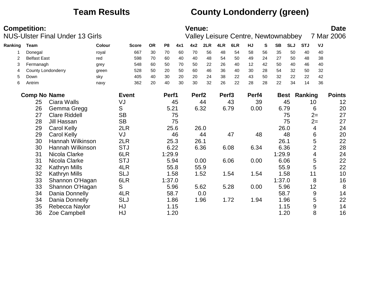# **Team Results County Londonderry (green)**

|         | <b>Competition:</b> | <b>NUS-Ulster Final Under 13 Girls</b> |        |              |           |                |      | <b>Venue:</b>     |      |                   | <b>Valley Leisure Centre, Newtownabbey</b> |       |    |             |            |            |                | <b>Date</b><br>7 Mar 2006 |
|---------|---------------------|----------------------------------------|--------|--------------|-----------|----------------|------|-------------------|------|-------------------|--------------------------------------------|-------|----|-------------|------------|------------|----------------|---------------------------|
| Ranking | <b>Team</b>         |                                        | Colour | <b>Score</b> | <b>OR</b> | P <sub>8</sub> | 4x1  | 4x2               | 2LR  | 4LR               | 6LR                                        | HJ    | S  | <b>SB</b>   | <b>SLJ</b> | <b>STJ</b> | VJ             |                           |
|         | Donegal             |                                        | royal  | 667          | 30        | 70             | 60   | 70                | 56   | 48                | 54                                         | 58    | 56 | 35          | 50         | 40         | 40             |                           |
| 2       | <b>Belfast East</b> |                                        | red    | 598          | 70        | 60             | 40   | 40                | 48   | 54                | 50                                         | 49    | 24 | 27          | 50         | 48         | 38             |                           |
| 3       | Fermanagh           |                                        | grey   | 548          | 60        | 50             | 70   | 50                | 22   | 26                | 40                                         | 12    | 42 | 50          | 40         | 46         | 40             |                           |
| 4       |                     | <b>County Londonderry</b>              | green  | 528          | 50        | 20             | 50   | 60                | 46   | 36                | 40                                         | 30    | 28 | 54          | 32         | 50         | 32             |                           |
| 5       | Down                |                                        | sky    | 405          | 40        | 30             | 20   | 20                | 24   | 38                | 22                                         | 43    | 50 | 32          | 22         | 22         | 42             |                           |
| 6       | Antrim              |                                        | navy   | 362          | 20        | 40             | 30   | 30                | 32   | 26                | 22                                         | 28    | 28 | 22          | 34         | 14         | 36             |                           |
|         | <b>Comp No Name</b> |                                        |        | <b>Event</b> |           | Perf1          |      | Perf <sub>2</sub> |      | Perf <sub>3</sub> |                                            | Perf4 |    | <b>Best</b> |            | Ranking    |                | <b>Points</b>             |
|         | 25                  | Ciara Walls                            |        | VJ           |           |                | 45   |                   | 44   |                   | 43                                         |       | 39 |             | 45         |            | 10             | 12                        |
|         | 26                  | Gemma Gregg                            |        | S            |           | 5.21           |      |                   | 6.32 |                   | 6.79                                       | 0.00  |    | 6.79        |            |            | 6              | 20                        |
|         | 27                  | <b>Clare Riddell</b>                   |        | <b>SB</b>    |           |                | 75   |                   |      |                   |                                            |       |    |             | 75         |            | $2=$           | 27                        |
|         | 28                  | Jill Hassan                            |        | <b>SB</b>    |           |                | 75   |                   |      |                   |                                            |       |    |             | 75         |            | $2=$           | 27                        |
|         | 29                  | <b>Carol Kelly</b>                     |        | 2LR          |           |                | 25.6 |                   | 26.0 |                   |                                            |       |    | 26.0        |            |            | 4              | 24                        |
|         | 29                  | <b>Carol Kelly</b>                     |        | VJ           |           |                | 46   |                   | 44   |                   | 47                                         |       | 48 |             | 48         |            | 6              | 20                        |
|         | 30                  | Hannah Wilkinson                       |        | 2LR          |           |                | 25.3 | 26.1              |      |                   |                                            |       |    | 26.1        |            |            | 5              | 22                        |
|         | 30                  | Hannah Wilkinson                       |        | <b>STJ</b>   |           | 6.22           |      |                   | 6.36 |                   | 6.08                                       | 6.34  |    | 6.36        |            |            | $\overline{2}$ | 28                        |
|         | 31                  | Nicola Clarke                          |        | 6LR          |           | 1:29.9         |      |                   |      |                   |                                            |       |    | 1:29.9      |            |            | 4              | 24                        |
|         | 31                  | Nicola Clarke                          |        | <b>STJ</b>   |           | 5.94           |      |                   | 0.00 |                   | 6.06                                       | 0.00  |    | 6.06        |            |            | 5              | 22                        |
|         | 32                  | Kathryn Mills                          |        | 4LR          |           | 55.8           |      |                   | 55.9 |                   |                                            |       |    | 55.9        |            |            | 5              | 22                        |
|         | 32                  | Kathryn Mills                          |        | <b>SLJ</b>   |           |                | 1.58 |                   | 1.52 |                   | 1.54                                       | 1.54  |    | 1.58        |            | 11         |                | 10                        |
|         | 33                  | Shannon O'Hagan                        |        | 6LR          |           | 1:37.0         |      |                   |      |                   |                                            |       |    | 1:37.0      |            |            | 8              | 16                        |
|         | 33                  | Shannon O'Hagan                        |        | S            |           | 5.96           |      |                   | 5.62 |                   | 5.28                                       | 0.00  |    | 5.96        |            |            | 12             | 8                         |
|         | 34                  | Dania Donnelly                         |        | 4LR          |           | 58.7           |      |                   | 0.0  |                   |                                            |       |    | 58.7        |            |            | 9              | 14                        |
|         | 34                  | Dania Donnelly                         |        | <b>SLJ</b>   |           |                | 1.86 |                   | 1.96 |                   | 1.72                                       | 1.94  |    |             | 1.96       |            | 5              | 22                        |
|         | 35                  | Rebecca Naylor                         |        | HJ           |           |                | 1.15 |                   |      |                   |                                            |       |    |             | 1.15       |            | 9              | 14                        |
|         | 36                  | Zoe Campbell                           |        | HJ           |           |                | 1.20 |                   |      |                   |                                            |       |    | 1.20        |            |            | 8              | 16                        |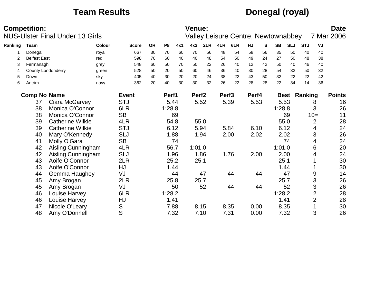## **Team Results Donegal (royal)**

|         | <b>Competition:</b> | <b>NUS-Ulster Final Under 13 Girls</b> |               |              |           |                |      | <b>Venue:</b>     |      |                   | Valley Leisure Centre, Newtownabbey |       |    |           |            |                     |                | <b>Date</b><br>7 Mar 2006 |
|---------|---------------------|----------------------------------------|---------------|--------------|-----------|----------------|------|-------------------|------|-------------------|-------------------------------------|-------|----|-----------|------------|---------------------|----------------|---------------------------|
| Ranking | <b>Team</b>         |                                        | <b>Colour</b> | <b>Score</b> | <b>OR</b> | P <sub>8</sub> | 4x1  | 4x2               | 2LR  | 4LR               | 6LR                                 | HJ    | S  | <b>SB</b> | <b>SLJ</b> | <b>STJ</b>          | VJ             |                           |
|         | Donegal             |                                        | royal         | 667          | 30        | 70             | 60   | 70                | 56   | 48                | 54                                  | 58    | 56 | 35        | 50         | 40                  | 40             |                           |
|         | <b>Belfast East</b> |                                        | red           | 598          | 70        | 60             | 40   | 40                | 48   | 54                | 50                                  | 49    | 24 | 27        | 50         | 48                  | 38             |                           |
| 3       | Fermanagh           |                                        | grey          | 548          | 60        | 50             | 70   | 50                | 22   | 26                | 40                                  | 12    | 42 | 50        | 40         | 46                  | 40             |                           |
| 4       |                     | <b>County Londonderry</b>              | green         | 528          | 50        | 20             | 50   | 60                | 46   | 36                | 40                                  | 30    | 28 | 54        | 32         | 50                  | 32             |                           |
| 5       | Down                |                                        | sky           | 405          | 40        | 30             | 20   | 20                | 24   | 38                | 22                                  | 43    | 50 | 32        | 22         | 22                  | 42             |                           |
| 6       | Antrim              |                                        | navy          | 362          | 20        | 40             | 30   | 30                | 32   | 26                | 22                                  | 28    | 28 | 22        | 34         | 14                  | 36             |                           |
|         | <b>Comp No Name</b> |                                        |               | <b>Event</b> |           | Perf1          |      | Perf <sub>2</sub> |      | Perf <sub>3</sub> |                                     | Perf4 |    |           |            | <b>Best Ranking</b> |                | <b>Points</b>             |
|         | 37                  | Ciara McGarvey                         |               | <b>STJ</b>   |           |                | 5.44 |                   | 5.52 |                   | 5.39                                | 5.53  |    | 5.53      |            |                     | 8              | 16                        |
|         | 38                  | Monica O'Connor                        |               | 6LR          |           | 1:28.8         |      |                   |      |                   |                                     |       |    | 1:28.8    |            |                     | 3              | 26                        |
|         | 38                  | Monica O'Connor                        |               | <b>SB</b>    |           |                | 69   |                   |      |                   |                                     |       |    |           | 69         |                     | $10=$          | 11                        |
|         | 39                  | <b>Catherine Wilkie</b>                |               | 4LR          |           |                | 54.8 |                   | 55.0 |                   |                                     |       |    | 55.0      |            |                     | $\overline{2}$ | 28                        |
|         | 39                  | <b>Catherine Wilkie</b>                |               | <b>STJ</b>   |           | 6.12           |      |                   | 5.94 |                   | 5.84                                | 6.10  |    | 6.12      |            |                     | 4              | 24                        |
|         | 40                  | Mary O'Kennedy                         |               | <b>SLJ</b>   |           |                | 1.88 |                   | 1.94 |                   | 2.00                                | 2.02  |    | 2.02      |            |                     | 3              | 26                        |
|         | 41                  | Molly O'Gara                           |               | <b>SB</b>    |           |                | 74   |                   |      |                   |                                     |       |    |           | 74         |                     | 4              | 24                        |
|         | 42                  | Aisling Cunningham                     |               | 4LR          |           |                | 56.7 | 1:01.0            |      |                   |                                     |       |    | 1:01.0    |            |                     | 6              | 20                        |
|         | 42                  | Aisling Cunningham                     |               | <b>SLJ</b>   |           |                | 1.96 | 1.86              |      |                   | 1.76                                | 2.00  |    | 2.00      |            |                     | 4              | 24                        |
|         | 43                  | Aoife O'Connor                         |               | 2LR          |           |                | 25.2 | 25.1              |      |                   |                                     |       |    | 25.1      |            |                     |                | 30                        |
|         | 43                  | Aoife O'Connor                         |               | HJ           |           |                | 1.44 |                   |      |                   |                                     |       |    |           | 1.44       |                     |                | 30                        |
|         | 44                  | Gemma Haughey                          |               | VJ           |           |                | 44   |                   | 47   |                   | 44                                  |       | 44 |           | 47         |                     | 9              | 14                        |
|         | 45                  | Amy Brogan                             |               | 2LR          |           |                | 25.8 |                   | 25.7 |                   |                                     |       |    | 25.7      |            |                     | 3              | 26                        |
|         | 45                  | Amy Brogan                             |               | VJ           |           |                | 50   |                   | 52   |                   | 44                                  |       | 44 |           | 52         |                     | 3              | 26                        |
|         | 46                  | Louise Harvey                          |               | 6LR          |           | 1:28.2         |      |                   |      |                   |                                     |       |    | 1:28.2    |            |                     | $\overline{2}$ | 28                        |
|         | 46                  | Louise Harvey                          |               | HJ           |           | 1.41           |      |                   |      |                   |                                     |       |    | 1.41      |            |                     | $\overline{2}$ | 28                        |
|         | 47                  | Nicole O'Leary                         |               | S            |           |                | 7.88 |                   | 8.15 |                   | 8.35                                | 0.00  |    | 8.35      |            |                     |                | 30                        |
|         | 48                  | Amy O'Donnell                          |               | S            |           |                | 7.32 |                   | 7.10 |                   | 7.31                                | 0.00  |    | 7.32      |            |                     | 3              | 26                        |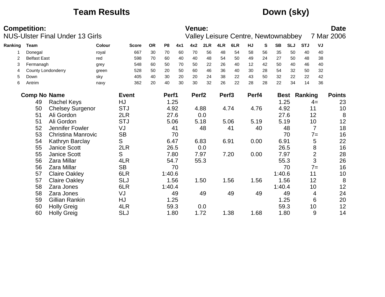## **Team Results Down (sky)**

|         | <b>Competition:</b> | <b>NUS-Ulster Final Under 13 Girls</b> |        |              |           |                |      | <b>Venue:</b>     |      |                   | <b>Valley Leisure Centre, Newtownabbey</b> |           |    |             |            |            |                | <b>Date</b><br>7 Mar 2006 |
|---------|---------------------|----------------------------------------|--------|--------------|-----------|----------------|------|-------------------|------|-------------------|--------------------------------------------|-----------|----|-------------|------------|------------|----------------|---------------------------|
| Ranking | <b>Team</b>         |                                        | Colour | <b>Score</b> | <b>OR</b> | P <sub>8</sub> | 4x1  | 4x2               | 2LR  | 4LR               | 6LR                                        | <b>HJ</b> | S  | <b>SB</b>   | <b>SLJ</b> | <b>STJ</b> | VJ             |                           |
|         | Donegal             |                                        | royal  | 667          | 30        | 70             | 60   | 70                | 56   | 48                | 54                                         | 58        | 56 | 35          | 50         | 40         | 40             |                           |
| 2       | <b>Belfast East</b> |                                        | red    | 598          | 70        | 60             | 40   | 40                | 48   | 54                | 50                                         | 49        | 24 | 27          | 50         | 48         | 38             |                           |
| 3       | Fermanagh           |                                        | grey   | 548          | 60        | 50             | 70   | 50                | 22   | 26                | 40                                         | 12        | 42 | 50          | 40         | 46         | 40             |                           |
| 4       |                     | <b>County Londonderry</b>              | green  | 528          | 50        | 20             | 50   | 60                | 46   | 36                | 40                                         | 30        | 28 | 54          | 32         | 50         | 32             |                           |
| 5       | Down                |                                        | sky    | 405          | 40        | 30             | 20   | 20                | 24   | 38                | 22                                         | 43        | 50 | 32          | 22         | 22         | 42             |                           |
| 6       | Antrim              |                                        | navy   | 362          | 20        | 40             | 30   | 30                | 32   | 26                | 22                                         | 28        | 28 | 22          | 34         | 14         | 36             |                           |
|         | <b>Comp No Name</b> |                                        |        | <b>Event</b> |           | Perf1          |      | Perf <sub>2</sub> |      | Perf <sub>3</sub> |                                            | Perf4     |    | <b>Best</b> |            | Ranking    |                | <b>Points</b>             |
|         | 49                  | <b>Rachel Keys</b>                     |        | HJ           |           | 1.25           |      |                   |      |                   |                                            |           |    |             | 1.25       |            | $4=$           | 23                        |
|         | 50                  | <b>Chelsey Surgenor</b>                |        | <b>STJ</b>   |           | 4.92           |      |                   | 4.88 |                   | 4.74                                       | 4.76      |    | 4.92        |            | 11         |                | 10                        |
|         | 51                  | Ali Gordon                             |        | 2LR          |           | 27.6           |      |                   | 0.0  |                   |                                            |           |    | 27.6        |            |            | 12             | 8                         |
|         | 51                  | Ali Gordon                             |        | <b>STJ</b>   |           |                | 5.06 |                   | 5.18 |                   | 5.06                                       | 5.19      |    | 5.19        |            |            | 10             | 12                        |
|         | 52                  | Jennifer Fowler                        |        | VJ           |           |                | 41   |                   | 48   |                   | 41                                         |           | 40 |             | 48         |            | $\overline{7}$ | 18                        |
|         | 53                  | <b>Christina Manrovic</b>              |        | <b>SB</b>    |           |                | 70   |                   |      |                   |                                            |           |    |             | 70         |            | $7 =$          | 16                        |
|         | 54                  | Kathryn Barclay                        |        | S            |           | 6.47           |      |                   | 6.83 | 6.91              |                                            | 0.00      |    | 6.91        |            |            | 5              | 22                        |
|         | 55                  | <b>Janice Scott</b>                    |        | 2LR          |           |                | 26.5 |                   | 0.0  |                   |                                            |           |    | 26.5        |            |            | 8              | 16                        |
|         | 55                  | Janice Scott                           |        | S            |           |                | 7.80 |                   | 7.97 |                   | 7.20                                       | 0.00      |    | 7.97        |            |            | $\overline{2}$ | 28                        |
|         | 56                  | <b>Zara Millar</b>                     |        | 4LR          |           | 54.7           |      |                   | 55.3 |                   |                                            |           |    | 55.3        |            |            | 3              | 26                        |
|         | 56                  | Zara Millar                            |        | <b>SB</b>    |           |                | 70   |                   |      |                   |                                            |           |    |             | 70         |            | $7 =$          | 16                        |
|         | 57                  | <b>Claire Oakley</b>                   |        | 6LR          |           | 1:40.6         |      |                   |      |                   |                                            |           |    | 1:40.6      |            | 11         |                | 10                        |
|         | 57                  | <b>Claire Oakley</b>                   |        | <b>SLJ</b>   |           |                | 1.56 |                   | 1.50 |                   | 1.56                                       | 1.56      |    | 1.56        |            |            | 12             | 8                         |
|         | 58                  | Zara Jones                             |        | 6LR          |           | 1:40.4         |      |                   |      |                   |                                            |           |    | 1:40.4      |            |            | 10             | 12                        |
|         | 58                  | Zara Jones                             |        | VJ           |           |                | 49   |                   | 49   |                   | 49                                         |           | 49 |             | 49         |            | 4              | 24                        |
|         | 59                  | Gillian Rankin                         |        | HJ           |           | 1.25           |      |                   |      |                   |                                            |           |    |             | 1.25       |            | 6              | 20                        |
|         | 60                  | <b>Holly Greig</b>                     |        | 4LR          |           | 59.3           |      |                   | 0.0  |                   |                                            |           |    | 59.3        |            |            | 10             | 12                        |
|         | 60                  | <b>Holly Greig</b>                     |        | <b>SLJ</b>   |           | 1.80           |      |                   | 1.72 |                   | 1.38                                       | 1.68      |    | 1.80        |            |            | 9              | 14                        |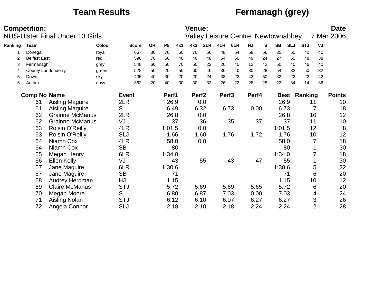# **Team Results Fermanagh (grey)**

|         | <b>Competition:</b> |                                        |        |              |           |                |      | Venue:            |      |                   |                                     |       |    |           |            |            |                | <b>Date</b>   |
|---------|---------------------|----------------------------------------|--------|--------------|-----------|----------------|------|-------------------|------|-------------------|-------------------------------------|-------|----|-----------|------------|------------|----------------|---------------|
|         |                     | <b>NUS-Ulster Final Under 13 Girls</b> |        |              |           |                |      |                   |      |                   | Valley Leisure Centre, Newtownabbey |       |    |           |            |            |                | 7 Mar 2006    |
| Ranking | Team                |                                        | Colour | <b>Score</b> | <b>OR</b> | P <sub>8</sub> | 4x1  | 4x2               | 2LR  | 4LR               | 6LR                                 | HJ    | S  | <b>SB</b> | <b>SLJ</b> | <b>STJ</b> | VJ             |               |
|         | Donegal             |                                        | royal  | 667          | 30        | 70             | 60   | 70                | 56   | 48                | 54                                  | 58    | 56 | 35        | 50         | 40         | 40             |               |
| 2       | <b>Belfast East</b> |                                        | red    | 598          | 70        | 60             | 40   | 40                | 48   | 54                | 50                                  | 49    | 24 | 27        | 50         | 48         | 38             |               |
| 3       | Fermanagh           |                                        | grey   | 548          | 60        | 50             | 70   | 50                | 22   | 26                | 40                                  | 12    | 42 | 50        | 40         | 46         | 40             |               |
| 4       |                     | <b>County Londonderry</b>              | green  | 528          | 50        | 20             | 50   | 60                | 46   | 36                | 40                                  | 30    | 28 | 54        | 32         | 50         | 32             |               |
| 5       | Down                |                                        | sky    | 405          | 40        | 30             | 20   | 20                | 24   | 38                | 22                                  | 43    | 50 | 32        | 22         | 22         | 42             |               |
| 6       | Antrim              |                                        | navy   | 362          | 20        | 40             | 30   | 30                | 32   | 26                | 22                                  | 28    | 28 | 22        | 34         | 14         | 36             |               |
|         | <b>Comp No Name</b> |                                        |        | <b>Event</b> |           | Perf1          |      | Perf <sub>2</sub> |      | Perf <sub>3</sub> |                                     | Perf4 |    |           | Best       | Ranking    |                | <b>Points</b> |
|         | 61                  | <b>Aisling Maguire</b>                 |        | 2LR          |           |                | 26.9 |                   | 0.0  |                   |                                     |       |    | 26.9      |            | 11         |                | 10            |
|         | 61                  | <b>Aisling Maguire</b>                 |        | S            |           |                | 6.49 |                   | 6.32 |                   | 6.73                                | 0.00  |    | 6.73      |            |            | 7              | 18            |
|         | 62                  | <b>Grainne McManus</b>                 |        | 2LR          |           |                | 26.8 |                   | 0.0  |                   |                                     |       |    | 26.8      |            |            | 10             | 12            |
|         | 62                  | <b>Grainne McManus</b>                 |        | VJ           |           |                | 37   |                   | 36   |                   | 35                                  |       | 37 |           | 37         | 11         |                | 10            |
|         | 63                  | Roisin O'Reilly                        |        | 4LR          |           | 1:01.5         |      |                   | 0.0  |                   |                                     |       |    | 1:01.5    |            | 12         |                | 8             |
|         | 63                  | Roisin O'Reilly                        |        | <b>SLJ</b>   |           |                | 1.66 |                   | 1.60 |                   | 1.76                                | 1.72  |    |           | 1.76       |            | 10             | 12            |
|         | 64                  | Niamh Cox                              |        | 4LR          |           |                | 58.0 |                   | 0.0  |                   |                                     |       |    | 58.0      |            |            |                | 18            |
|         | 64                  | Niamh Cox                              |        | <b>SB</b>    |           |                | 80   |                   |      |                   |                                     |       |    |           | 80         |            |                | 30            |
|         | 65                  | Megan Henry                            |        | 6LR          |           | 1:34.0         |      |                   |      |                   |                                     |       |    | 1:34.0    |            |            |                | 18            |
|         | 66                  | Ellen Kelly                            |        | VJ           |           |                | 43   |                   | 55   |                   | 43                                  |       | 47 |           | 55         |            |                | 30            |
|         | 67                  | Jane Maguire                           |        | 6LR          |           | 1:30.6         |      |                   |      |                   |                                     |       |    | 1:30.6    |            |            | 5              | 22            |
|         | 67                  | Jane Maguire                           |        | <b>SB</b>    |           |                | 71   |                   |      |                   |                                     |       |    |           | 71         |            | 6              | 20            |
|         | 68                  | Audrey Herdman                         |        | HJ           |           |                | 1.15 |                   |      |                   |                                     |       |    |           | 1.15       |            | 10             | 12            |
|         | 69                  | <b>Claire McManus</b>                  |        | <b>STJ</b>   |           |                | 5.72 |                   | 5.69 |                   | 5.69                                | 5.65  |    | 5.72      |            |            | 6              | 20            |
|         | 70                  | Megan Moore                            |        | S            |           |                | 6.80 |                   | 6.87 |                   | 7.03                                | 0.00  |    | 7.03      |            |            | 4              | 24            |
|         | 71                  | Aisling Nolan                          |        | <b>STJ</b>   |           |                | 6.12 |                   | 6.10 |                   | 6.07                                | 6.27  |    | 6.27      |            |            | 3              | 26            |
|         | 72                  | Angela Connor                          |        | <b>SLJ</b>   |           |                | 2.18 |                   | 2.10 |                   | 2.18                                | 2.24  |    | 2.24      |            |            | $\overline{2}$ | 28            |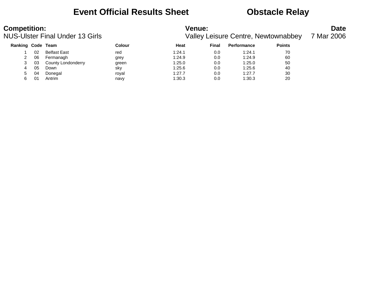### **Event Official Results Sheet <b>CEV** Obstacle Relay

| <b>Competition:</b> |    | <b>NUS-Ulster Final Under 13 Girls</b> |        | <b>Venue:</b> |       | <b>Valley Leisure Centre, Newtownabbey</b> |               | <b>Date</b><br>7 Mar 2006 |
|---------------------|----|----------------------------------------|--------|---------------|-------|--------------------------------------------|---------------|---------------------------|
| Ranking Code Team   |    |                                        | Colour | Heat          | Final | <b>Performance</b>                         | <b>Points</b> |                           |
|                     | 02 | <b>Belfast East</b>                    | red    | 1:24.1        | 0.0   | 1:24.1                                     | 70            |                           |
|                     | 06 | Fermanagh                              | grey   | 1:24.9        | 0.0   | 1:24.9                                     | 60            |                           |
|                     | 03 | County Londonderry                     | green  | 1:25.0        | 0.0   | 1:25.0                                     | 50            |                           |
| 4                   | 05 | Down                                   | sky    | 1:25.6        | 0.0   | 1:25.6                                     | 40            |                           |
|                     | 04 | Donegal                                | roval  | 1:27.7        | 0.0   | 1:27.7                                     | 30            |                           |

6 01 Antrim navy 1:30.3 0.0 1:30.3 20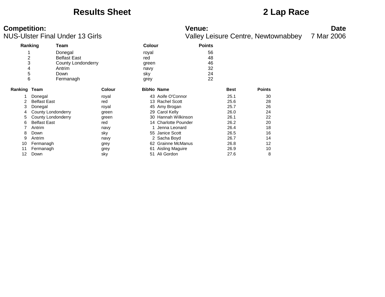### **Results Sheet 2 Lap Race**

|                | Ranking             | Team                |               | <b>Colour</b> |                        | <b>Points</b> |             |               |
|----------------|---------------------|---------------------|---------------|---------------|------------------------|---------------|-------------|---------------|
|                |                     | Donegal             |               | royal         |                        | 56            |             |               |
| $\overline{c}$ |                     | <b>Belfast East</b> |               | red           |                        | 48            |             |               |
| 3              |                     | County Londonderry  |               | green         |                        | 46            |             |               |
| 4              |                     | Antrim              |               | navy          |                        | 32            |             |               |
| 5              |                     | Down                |               | sky           |                        | 24            |             |               |
| 6              |                     | Fermanagh           |               | grey          |                        | 22            |             |               |
| Ranking Team   |                     |                     | <b>Colour</b> |               | <b>BibNo Name</b>      |               | <b>Best</b> | <b>Points</b> |
|                | Donegal             |                     | royal         |               | 43 Aoife O'Connor      |               | 25.1        | 30            |
| 2              | <b>Belfast East</b> |                     | red           |               | 13 Rachel Scott        |               | 25.6        | 28            |
| 3              | Donegal             |                     | royal         |               | 45 Amy Brogan          |               | 25.7        | 26            |
| 4              | County Londonderry  |                     | green         |               | 29 Carol Kelly         |               | 26.0        | 24            |
| 5              | County Londonderry  |                     | green         |               | 30 Hannah Wilkinson    |               | 26.1        | 22            |
| 6              | <b>Belfast East</b> |                     | red           |               | 14 Charlotte Pounder   |               | 26.2        | 20            |
|                | Antrim              |                     | navy          |               | Jenna Leonard          |               | 26.4        | 18            |
| 8              | Down                |                     | sky           |               | 55 Janice Scott        |               | 26.5        | 16            |
| 9              | Antrim              |                     | navy          |               | 2 Sacha Boyd           |               | 26.7        | 14            |
| 10             | Fermanagh           |                     | grey          | 62            | <b>Grainne McManus</b> |               | 26.8        | 12            |
| 11             | Fermanagh           |                     | grey          | 61            | Aisling Maguire        |               | 26.9        | 10            |
| 12             | Down                |                     | sky           | 51            | Ali Gordon             |               | 27.6        | 8             |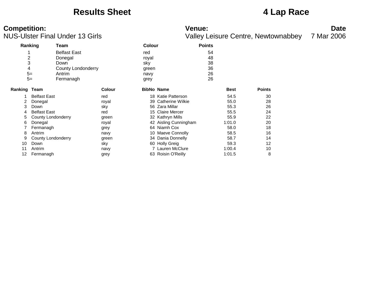### **Results Sheet 4 Lap Race**

# **Competition:** Date

NUS-Ulster Final Under 13 Girls Valley Leisure Centre, Newtownabbey 7 Mar 2006

**Ranking Team Colour Points** 1 Belfast East 1 Belfast East 1 State of the Second Contract 1 State 1 State 1 State 1 State 1 State 1 State 1 State 1 State 1 State 1 State 1 State 1 State 1 State 1 State 1 State 1 State 1 State 1 State 1 State 1 State 1 2 Donegal royal 48 3 Down sky 38 4 County Londonderry green 36 5= Antrim navy 26 5= Fermanagh grey grey 26 **Ranking Team Colour BibNo Name Best Points** 1 Belfast East 18 Katie Patterson 18 Katie Patterson 18 Katie Patterson 54.5 30 2 Donegal royal 39 Catherine Wilkie 55.0 28 3 Down sky 56 Zara Millar 55.3 26 4 Belfast East 15 Claire Mercer 15 Claire Mercer 15 Claire Mercer 155.5 24 5 County Londonderry green 32 Kathryn Mills 55.9 22 6 Donegal royal 42 Aisling Cunningham 1:01.0 20 7 Fermanagh grey 64 Niamh Cox 58.0 18 8 Antrim **10 Magust 20 Antring 10 Magust 20 Antring 16** Antring 58.5 16 9 County Londonderry **green** 34 Dania Donnelly 58.7 58.7 14 10 Down sky sky 60 Holly Greig 59.3 12 11 Antrim 10 10 navy 12 Lauren McClure 1:00.4 10 12 Fermanagh grey 63 Roisin O'Reilly 1:01.5 8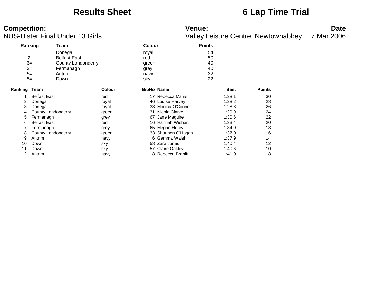### **Results Sheet 6 Lap Time Trial**

# **Competition:**<br>**Date**<br>
Valley Leisure Centre, Newtownabbey 7 Mar 2006<br>
Valley Leisure Centre, Newtownabbey 7 Mar 2006

Valley Leisure Centre, Newtownabbey 7 Mar 2006

| Ranking        |                           | Team                |               | <b>Colour</b>     |                      | <b>Points</b> |             |               |
|----------------|---------------------------|---------------------|---------------|-------------------|----------------------|---------------|-------------|---------------|
|                |                           | Donegal             |               | royal             |                      | 54            |             |               |
| $\overline{c}$ |                           | <b>Belfast East</b> |               | red               |                      | 50            |             |               |
| $3=$           |                           | County Londonderry  |               | green             |                      | 40            |             |               |
| $3=$           |                           | Fermanagh           |               | grey              |                      | 40            |             |               |
| $5=$           |                           | Antrim              |               | navy              |                      | 22            |             |               |
| $5=$           |                           | Down                |               | sky               |                      | 22            |             |               |
| Ranking Team   |                           |                     | <b>Colour</b> | <b>BibNo Name</b> |                      |               | <b>Best</b> | <b>Points</b> |
|                | <b>Belfast East</b>       |                     | red           |                   | 17 Rebecca Mains     |               | 1:28.1      | 30            |
| 2              | Donegal                   |                     | royal         |                   | 46 Louise Harvey     |               | 1:28.2      | 28            |
| 3              | Donegal                   |                     | royal         | 38                | Monica O'Connor      |               | 1:28.8      | 26            |
| 4              | <b>County Londonderry</b> |                     | green         | 31                | Nicola Clarke        |               | 1:29.9      | 24            |
| 5              | Fermanagh                 |                     | grey          | 67                | Jane Maguire         |               | 1:30.6      | 22            |
| 6              | <b>Belfast East</b>       |                     | red           |                   | 16 Hannah Wishart    |               | 1:33.4      | 20            |
|                | Fermanagh                 |                     | grey          |                   | 65 Megan Henry       |               | 1:34.0      | 18            |
| 8              | County Londonderry        |                     | green         |                   | 33 Shannon O'Hagan   |               | 1:37.0      | 16            |
| 9              | Antrim                    |                     | navy          |                   | 6 Gemma Walsh        |               | 1:37.9      | 14            |
| 10             | Down                      |                     | sky           |                   | 58 Zara Jones        |               | 1:40.4      | 12            |
| 11             | Down                      |                     | sky           | 57                | <b>Claire Oakley</b> |               | 1:40.6      | 10            |
| 12             | Antrim                    |                     | navy          |                   | 8 Rebecca Braniff    |               | 1:41.0      | 8             |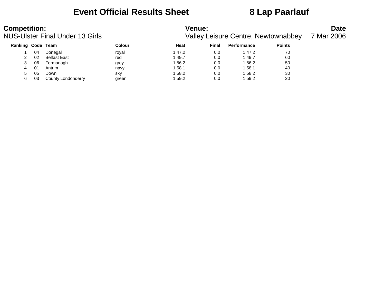## **Event Official Results Sheet 8 Lap Paarlauf**

| <b>Competition:</b> |    | <b>NUS-Ulster Final Under 13 Girls</b> |        | <b>Venue:</b> |       | Valley Leisure Centre, Newtownabbey |               | <b>Date</b><br>7 Mar 2006 |
|---------------------|----|----------------------------------------|--------|---------------|-------|-------------------------------------|---------------|---------------------------|
| Ranking Code Team   |    |                                        | Colour | Heat          | Final | <b>Performance</b>                  | <b>Points</b> |                           |
|                     | 04 | Donegal                                | roval  | 1:47.2        | 0.0   | 1:47.2                              | 70            |                           |
|                     | 02 | <b>Belfast East</b>                    | red    | 1:49.7        | 0.0   | 1:49.7                              | 60            |                           |
| 3                   | 06 | Fermanagh                              | grey   | 1:56.2        | 0.0   | 1:56.2                              | 50            |                           |
| 4                   | 01 | Antrim                                 | navy   | 1:58.1        | 0.0   | 1:58.1                              | 40            |                           |
| 5.                  | 05 | Down                                   | sky    | 1:58.2        | 0.0   | 1:58.2                              | 30            |                           |
| 6                   | 03 | County Londonderry                     | green  | 1:59.2        | 0.0   | 1:59.2                              | 20            |                           |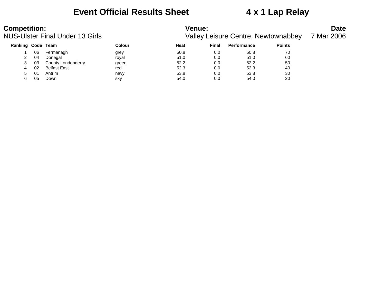### **Event Official Results Sheet 4 x 1 Lap Relay**

# **Competition:**<br>**Date**<br>
Valley Leisure Centre, Newtownabbey 7 Mar 2006<br>
Valley Leisure Centre, Newtownabbey 7 Mar 2006

Valley Leisure Centre, Newtownabbey 7 M

|  | Mar 2006 |
|--|----------|
|  |          |

| <b>Ranking Code Team</b> |     |                     | Colour | Heat | Final | <b>Performance</b> | <b>Points</b> |
|--------------------------|-----|---------------------|--------|------|-------|--------------------|---------------|
|                          | 06  | Fermanagh           | grey   | 50.8 | 0.0   | 50.8               | 70            |
| 2                        | 04  | Donegal             | roval  | 51.0 | 0.0   | 51.0               | 60            |
|                          | -03 | County Londonderry  | green  | 52.2 | 0.0   | 52.2               | 50            |
| 4                        | 02  | <b>Belfast East</b> | red    | 52.3 | 0.0   | 52.3               | 40            |
| 5.                       | 01  | Antrim              | navy   | 53.8 | 0.0   | 53.8               | 30            |
|                          | 05  | Down                | sky    | 54.0 | 0.0   | 54.0               | 20            |
|                          |     |                     |        |      |       |                    |               |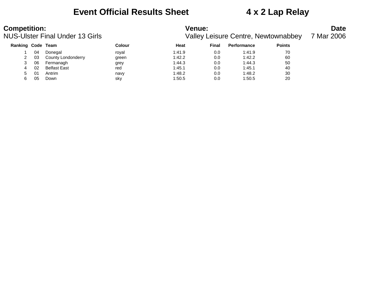### **Event Official Results Sheet 4 x 2 Lap Relay**

| <b>Competition:</b><br><b>NUS-Ulster Final Under 13 Girls</b> |    |                      |                             | <b>Venue:</b><br>Valley Leisure Centre, Newtownabbey |        |             |               |  |
|---------------------------------------------------------------|----|----------------------|-----------------------------|------------------------------------------------------|--------|-------------|---------------|--|
| Ranking Code Team                                             |    |                      | Colour                      | Heat                                                 | Final  | Performance | <b>Points</b> |  |
|                                                               | 04 | Donegal              | roval                       | 1:41.9                                               | 0.0    | 1:41.9      | 70            |  |
| $\sim$                                                        |    | 00 County Londondown | $\sim$ $\sim$ $\sim$ $\sim$ | 4.400                                                | $\cap$ | 1.100       | $\sim$        |  |

| 03 | County Londonderry  | areen | 1:42.2 | 0.0 | 1:42.2 | 60 |
|----|---------------------|-------|--------|-----|--------|----|
| 06 | Fermanagh           | arev  | 1:44.3 | 0.0 | 1:44.3 | 50 |
| 02 | <b>Belfast East</b> | red   | 1:45.1 | 0.0 | 1:45.1 | 40 |
| 01 | Antrim              | navy  | 1:48.2 | 0.0 | 1:48.2 | 30 |
| 05 | Down                | sky   | 1:50.5 | 0.0 | 1:50.5 | 20 |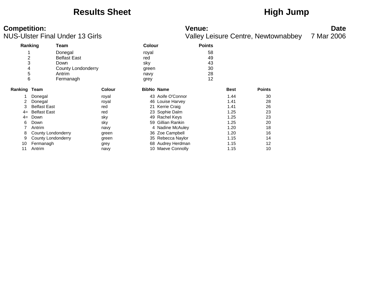## Results Sheet **High Jump**

# **Competition:**<br>**Date**<br>
Valley Leisure Centre, Newtownabbey 7 Mar 2006<br>
Valley Leisure Centre, Newtownabbey 7 Mar 2006

Valley Leisure Centre, Newtownabbey 7 Mar 2006

|                |                     |                           |               |                   |                   | ╯             |             |               |
|----------------|---------------------|---------------------------|---------------|-------------------|-------------------|---------------|-------------|---------------|
| Ranking        |                     | Team                      |               | <b>Colour</b>     |                   | <b>Points</b> |             |               |
| 4              |                     | Donegal                   |               | royal             |                   | 58            |             |               |
| $\overline{c}$ |                     | <b>Belfast East</b>       |               | red               |                   | 49            |             |               |
| 3              |                     | Down                      |               | sky               |                   | 43            |             |               |
| 4              |                     | <b>County Londonderry</b> |               | green             |                   | 30            |             |               |
| 5              |                     | Antrim                    |               | navy              |                   | 28            |             |               |
| 6              |                     | Fermanagh                 |               | grey              |                   | 12            |             |               |
| Ranking Team   |                     |                           | <b>Colour</b> | <b>BibNo Name</b> |                   |               | <b>Best</b> | <b>Points</b> |
|                | Donegal             |                           | royal         | 43                | Aoife O'Connor    |               | 1.44        | 30            |
|                | Donegal             |                           | royal         |                   | 46 Louise Harvey  |               | 1.41        | 28            |
| 3              | <b>Belfast East</b> |                           | red           |                   | 21 Kerrie Craig   |               | 1.41        | 26            |
| $4=$           | <b>Belfast East</b> |                           | red           |                   | 23 Sophie Dalm    |               | 1.25        | 23            |
| $4=$           | Down                |                           | sky           | 49                | Rachel Keys       |               | 1.25        | 23            |
| 6              | Down                |                           | sky           | 59                | Gillian Rankin    |               | 1.25        | 20            |
|                | Antrim              |                           | navy          |                   | 4 Nadine McAuley  |               | 1.20        | 18            |
| 8              | County Londonderry  |                           | green         |                   | 36 Zoe Campbell   |               | 1.20        | 16            |
| 9              | County Londonderry  |                           | green         |                   | 35 Rebecca Naylor |               | 1.15        | 14            |
| 10             | Fermanagh           |                           | grey          |                   | 68 Audrey Herdman |               | 1.15        | 12            |
| 11             | Antrim              |                           | navy          |                   | 10 Maeve Connolly |               | 1.15        | 10            |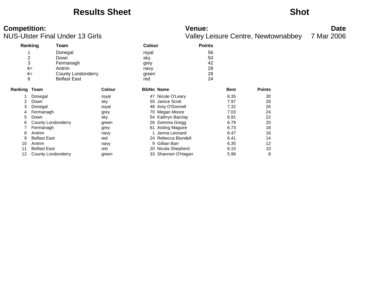### **Results Sheet Shot**

| Ranking      |                     | Team                |               | <b>Colour</b>     |                        | <b>Points</b> |             |               |
|--------------|---------------------|---------------------|---------------|-------------------|------------------------|---------------|-------------|---------------|
|              |                     | Donegal             |               | royal             |                        | 56            |             |               |
| 2            |                     | Down                |               | sky               |                        | 50            |             |               |
| 3            |                     | Fermanagh           |               | grey              |                        | 42            |             |               |
| $4=$         |                     | Antrim              |               | navy              |                        | 28            |             |               |
| $4=$         |                     | County Londonderry  |               | green             |                        | 28            |             |               |
| 6            |                     | <b>Belfast East</b> |               | red               |                        | 24            |             |               |
|              |                     |                     |               |                   |                        |               |             |               |
| Ranking Team |                     |                     | <b>Colour</b> | <b>BibNo Name</b> |                        |               | <b>Best</b> | <b>Points</b> |
|              | Donegal             |                     | royal         |                   | 47 Nicole O'Leary      |               | 8.35        | 30            |
| 2            | Down                |                     | sky           |                   | 55 Janice Scott        |               | 7.97        | 28            |
| 3            | Donegal             |                     | royal         |                   | 48 Amy O'Donnell       |               | 7.32        | 26            |
| 4            | Fermanagh           |                     | grey          |                   | 70 Megan Moore         |               | 7.03        | 24            |
| 5            | Down                |                     | sky           |                   | 54 Kathryn Barclay     |               | 6.91        | 22            |
| 6            | County Londonderry  |                     | green         |                   | 26 Gemma Gregg         |               | 6.79        | 20            |
|              | Fermanagh           |                     | grey          | 61                | <b>Aisling Maguire</b> |               | 6.73        | 18            |
| 8            | Antrim              |                     | navy          |                   | Jenna Leonard          |               | 6.47        | 16            |
| 9            | <b>Belfast East</b> |                     | red           |                   | 24 Rebecca Blundell    |               | 6.41        | 14            |
| 10           | Antrim              |                     | navy          | 9                 | Gillian Barr           |               | 6.35        | 12            |
| 11           | <b>Belfast East</b> |                     | red           |                   | 20 Nicola Shepherd     |               | 6.10        | 10            |
| 12           | County Londonderry  |                     | green         |                   | 33 Shannon O'Hagan     |               | 5.96        | 8             |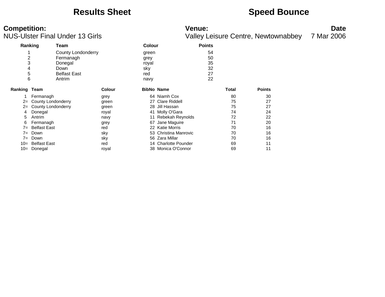### **Results Sheet <b>Speed Bounce Speed Bounce**

| Ranking        |                     | Team                      |               | <b>Colour</b>     |                         | <b>Points</b> |       |               |
|----------------|---------------------|---------------------------|---------------|-------------------|-------------------------|---------------|-------|---------------|
|                |                     | <b>County Londonderry</b> |               | green             |                         | 54            |       |               |
| $\overline{c}$ |                     | Fermanagh                 |               | grey              |                         | 50            |       |               |
| 3              |                     | Donegal                   |               | royal             |                         | 35            |       |               |
| 4              |                     | Down                      |               | sky               |                         | 32            |       |               |
| 5              |                     | <b>Belfast East</b>       |               | red               |                         | 27            |       |               |
| 6              |                     | Antrim                    |               | navy              |                         | 22            |       |               |
| Ranking Team   |                     |                           | <b>Colour</b> | <b>BibNo Name</b> |                         |               | Total | <b>Points</b> |
|                | Fermanagh           |                           | grey          |                   | 64 Niamh Cox            |               | 80    | 30            |
| $2 =$          | County Londonderry  |                           | green         |                   | 27 Clare Riddell        |               | 75    | 27            |
| $2 =$          | County Londonderry  |                           | green         | 28                | Jill Hassan             |               | 75    | 27            |
| 4              | Donegal             |                           | royal         | 41                | Molly O'Gara            |               | 74    | 24            |
| 5              | Antrim              |                           | navy          |                   | <b>Rebekah Reynolds</b> |               | 72    | 22            |
| 6              | Fermanagh           |                           | grey          | 67                | Jane Maguire            |               | 71    | 20            |
| $7 =$          | <b>Belfast East</b> |                           | red           |                   | 22 Katie Morris         |               | 70    | 16            |
| $7 =$          | Down                |                           | sky           | 53                | Christina Manrovic      |               | 70    | 16            |
| $7 =$          | Down                |                           | sky           |                   | 56 Zara Millar          |               | 70    | 16            |
| $10=$          | <b>Belfast East</b> |                           | red           |                   | 14 Charlotte Pounder    |               | 69    | 11            |
| $10=$          | Donegal             |                           | royal         |                   | 38 Monica O'Connor      |               | 69    | 11            |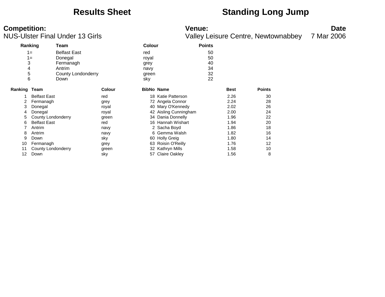## **Results Sheet Standing Long Jump**

|              | Ranking                   | Team                |               | <b>Colour</b> |                       | <b>Points</b> |             |               |
|--------------|---------------------------|---------------------|---------------|---------------|-----------------------|---------------|-------------|---------------|
|              | $1 =$                     | <b>Belfast East</b> |               | red           |                       | 50            |             |               |
|              | $1 =$                     | Donegal             |               | royal         |                       | 50            |             |               |
| 3            |                           | Fermanagh           |               | grey          |                       | 40            |             |               |
| 4            |                           | Antrim              |               | navy          |                       | 34            |             |               |
| 5            |                           | County Londonderry  |               | green         |                       | 32            |             |               |
| 6            |                           | Down                |               | sky           |                       | 22            |             |               |
|              |                           |                     |               |               |                       |               |             |               |
| Ranking Team |                           |                     | <b>Colour</b> |               | <b>BibNo Name</b>     |               | <b>Best</b> | <b>Points</b> |
|              | <b>Belfast East</b>       |                     | red           |               | 18 Katie Patterson    |               | 2.26        | 30            |
| 2            | Fermanagh                 |                     | grey          |               | 72 Angela Connor      |               | 2.24        | 28            |
| 3            | Donegal                   |                     | royal         |               | 40 Mary O'Kennedy     |               | 2.02        | 26            |
| 4            | Donegal                   |                     | royal         |               | 42 Aisling Cunningham |               | 2.00        | 24            |
| 5            | County Londonderry        |                     | green         |               | 34 Dania Donnelly     |               | 1.96        | 22            |
| 6            | <b>Belfast East</b>       |                     | red           |               | 16 Hannah Wishart     |               | 1.94        | 20            |
|              | Antrim                    |                     | navy          |               | 2 Sacha Boyd          |               | 1.86        | 18            |
| 8            | Antrim                    |                     | navy          |               | 6 Gemma Walsh         |               | 1.82        | 16            |
| 9            | Down                      |                     | sky           |               | 60 Holly Greig        |               | 1.80        | 14            |
| 10           | Fermanagh                 |                     | grey          | 63            | Roisin O'Reilly       |               | 1.76        | 12            |
| 11           | <b>County Londonderry</b> |                     | green         |               | 32 Kathryn Mills      |               | 1.58        | 10            |
| 12           | Down                      |                     | sky           |               | 57 Claire Oakley      |               | 1.56        | 8             |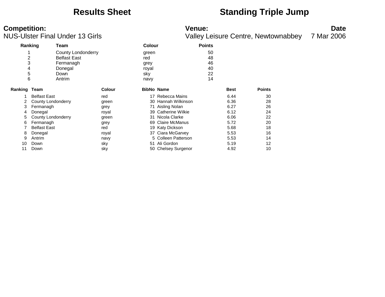### **Results Sheet**  Standing Triple Jump

# **Competition:**<br>**Date**<br>Valley Leisure Centre, Newtownabbey 7 Mar 2006

|                  |                     | US-Ulster Final Under 13 Girls            |               |                              |                     | Valley Leisure Centre, Newtownabbey | 7 Mar 2006  |               |  |
|------------------|---------------------|-------------------------------------------|---------------|------------------------------|---------------------|-------------------------------------|-------------|---------------|--|
|                  | Ranking             | Team                                      |               | <b>Colour</b>                |                     | <b>Points</b>                       |             |               |  |
| 2                |                     | County Londonderry<br><b>Belfast East</b> |               | green<br>red                 |                     | 50<br>48                            |             |               |  |
| 3<br>4<br>5<br>6 |                     | Fermanagh<br>Donegal<br>Down<br>Antrim    |               | grey<br>royal<br>sky<br>navy |                     | 46<br>40<br>22<br>14                |             |               |  |
| Ranking          | Team                |                                           | <b>Colour</b> | <b>BibNo Name</b>            |                     |                                     | <b>Best</b> | <b>Points</b> |  |
|                  | <b>Belfast East</b> |                                           | red           |                              | 17 Rebecca Mains    |                                     | 6.44        | 30            |  |
| 2                | County Londonderry  |                                           | green         |                              | 30 Hannah Wilkinson |                                     | 6.36        | 28            |  |
| 3                | Fermanagh           |                                           | grey          |                              | 71 Aisling Nolan    |                                     | 6.27        | 26            |  |
| 4                | Donegal             |                                           | royal         |                              | 39 Catherine Wilkie |                                     | 6.12        | 24            |  |
| 5                | County Londonderry  |                                           | green         |                              | 31 Nicola Clarke    |                                     | 6.06        | 22            |  |
| 6                | Fermanagh           |                                           | grey          |                              | 69 Claire McManus   |                                     | 5.72        | 20            |  |
|                  | <b>Belfast East</b> |                                           | red           |                              | 19 Katy Dickson     |                                     | 5.68        | 18            |  |
| 8                | Donegal             |                                           | royal         |                              | 37 Ciara McGarvey   |                                     | 5.53        | 16            |  |
| 9                | Antrim              |                                           | navy          |                              | 5 Colleen Patterson |                                     | 5.53        | 14            |  |
| 10               | Down                |                                           | sky           | 51                           | Ali Gordon          |                                     | 5.19        | 12            |  |
| 11               | Down                |                                           | sky           |                              | 50 Chelsey Surgenor |                                     | 4.92        | 10            |  |